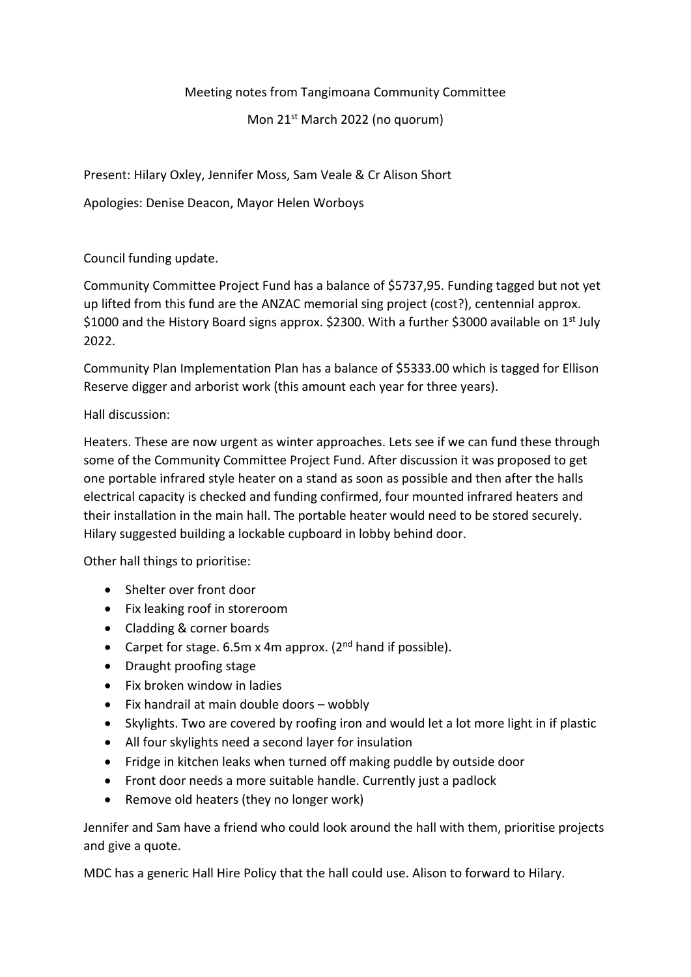Meeting notes from Tangimoana Community Committee

Mon 21st March 2022 (no quorum)

Present: Hilary Oxley, Jennifer Moss, Sam Veale & Cr Alison Short

Apologies: Denise Deacon, Mayor Helen Worboys

## Council funding update.

Community Committee Project Fund has a balance of \$5737,95. Funding tagged but not yet up lifted from this fund are the ANZAC memorial sing project (cost?), centennial approx. \$1000 and the History Board signs approx. \$2300. With a further \$3000 available on 1<sup>st</sup> July 2022.

Community Plan Implementation Plan has a balance of \$5333.00 which is tagged for Ellison Reserve digger and arborist work (this amount each year for three years).

## Hall discussion:

Heaters. These are now urgent as winter approaches. Lets see if we can fund these through some of the Community Committee Project Fund. After discussion it was proposed to get one portable infrared style heater on a stand as soon as possible and then after the halls electrical capacity is checked and funding confirmed, four mounted infrared heaters and their installation in the main hall. The portable heater would need to be stored securely. Hilary suggested building a lockable cupboard in lobby behind door.

Other hall things to prioritise:

- Shelter over front door
- Fix leaking roof in storeroom
- Cladding & corner boards
- Carpet for stage. 6.5m x 4m approx.  $(2^{nd}$  hand if possible).
- Draught proofing stage
- Fix broken window in ladies
- Fix handrail at main double doors wobbly
- Skylights. Two are covered by roofing iron and would let a lot more light in if plastic
- All four skylights need a second layer for insulation
- Fridge in kitchen leaks when turned off making puddle by outside door
- Front door needs a more suitable handle. Currently just a padlock
- Remove old heaters (they no longer work)

Jennifer and Sam have a friend who could look around the hall with them, prioritise projects and give a quote.

MDC has a generic Hall Hire Policy that the hall could use. Alison to forward to Hilary.